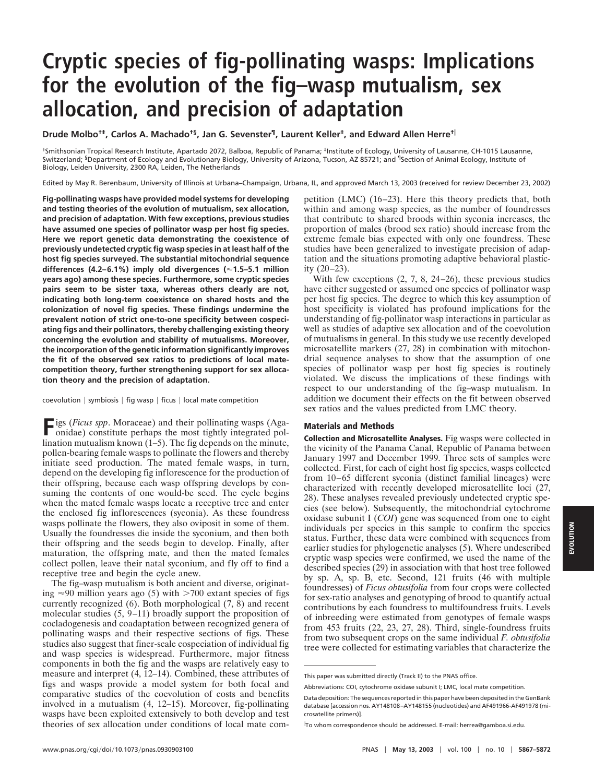## **Cryptic species of fig-pollinating wasps: Implications for the evolution of the fig–wasp mutualism, sex allocation, and precision of adaptation**

**Drude Molbo†‡, Carlos A. Machado†§, Jan G. Sevenster¶, Laurent Keller‡, and Edward Allen Herre†**<sup>i</sup>

†Smithsonian Tropical Research Institute, Apartado 2072, Balboa, Republic of Panama; ‡Institute of Ecology, University of Lausanne, CH-1015 Lausanne, Switzerland; <sup>§</sup>Department of Ecology and Evolutionary Biology, University of Arizona, Tucson, AZ 85721; and <sup>¶</sup>Section of Animal Ecology, Institute of Biology, Leiden University, 2300 RA, Leiden, The Netherlands

Edited by May R. Berenbaum, University of Illinois at Urbana–Champaign, Urbana, IL, and approved March 13, 2003 (received for review December 23, 2002)

**Fig-pollinating wasps have provided model systems for developing and testing theories of the evolution of mutualism, sex allocation, and precision of adaptation. With few exceptions, previous studies have assumed one species of pollinator wasp per host fig species. Here we report genetic data demonstrating the coexistence of previously undetected cryptic fig wasp species in at least half of the host fig species surveyed. The substantial mitochondrial sequence differences (4.2–6.1%) imply old divergences (**'**1.5–5.1 million years ago) among these species. Furthermore, some cryptic species pairs seem to be sister taxa, whereas others clearly are not, indicating both long-term coexistence on shared hosts and the colonization of novel fig species. These findings undermine the prevalent notion of strict one-to-one specificity between cospeciating figs and their pollinators, thereby challenging existing theory concerning the evolution and stability of mutualisms. Moreover, the incorporation of the genetic information significantly improves the fit of the observed sex ratios to predictions of local matecompetition theory, further strengthening support for sex allocation theory and the precision of adaptation.**

coevolution | symbiosis | fig wasp | ficus | local mate competition

**Figs (***Ficus spp*. Moraceae) and their pollinating wasps (Aga-<br>onidae) constitute porhame the continuous onidae) constitute perhaps the most tightly integrated pollination mutualism known (1–5). The fig depends on the minute, pollen-bearing female wasps to pollinate the flowers and thereby initiate seed production. The mated female wasps, in turn, depend on the developing fig inflorescence for the production of their offspring, because each wasp offspring develops by consuming the contents of one would-be seed. The cycle begins when the mated female wasps locate a receptive tree and enter the enclosed fig inflorescences (syconia). As these foundress wasps pollinate the flowers, they also oviposit in some of them. Usually the foundresses die inside the syconium, and then both their offspring and the seeds begin to develop. Finally, after maturation, the offspring mate, and then the mated females collect pollen, leave their natal syconium, and fly off to find a receptive tree and begin the cycle anew.

The fig–wasp mutualism is both ancient and diverse, originating  $\approx 90$  million years ago (5) with  $>700$  extant species of figs currently recognized  $(6)$ . Both morphological  $(7, 8)$  and recent molecular studies (5, 9–11) broadly support the proposition of cocladogenesis and coadaptation between recognized genera of pollinating wasps and their respective sections of figs. These studies also suggest that finer-scale cospeciation of individual fig and wasp species is widespread. Furthermore, major fitness components in both the fig and the wasps are relatively easy to measure and interpret (4, 12–14). Combined, these attributes of figs and wasps provide a model system for both focal and comparative studies of the coevolution of costs and benefits involved in a mutualism (4, 12–15). Moreover, fig-pollinating wasps have been exploited extensively to both develop and test theories of sex allocation under conditions of local mate competition (LMC) (16–23). Here this theory predicts that, both within and among wasp species, as the number of foundresses that contribute to shared broods within syconia increases, the proportion of males (brood sex ratio) should increase from the extreme female bias expected with only one foundress. These studies have been generalized to investigate precision of adaptation and the situations promoting adaptive behavioral plasticity (20–23).

With few exceptions  $(2, 7, 8, 24-26)$ , these previous studies have either suggested or assumed one species of pollinator wasp per host fig species. The degree to which this key assumption of host specificity is violated has profound implications for the understanding of fig-pollinator wasp interactions in particular as well as studies of adaptive sex allocation and of the coevolution of mutualisms in general. In this study we use recently developed microsatellite markers (27, 28) in combination with mitochondrial sequence analyses to show that the assumption of one species of pollinator wasp per host fig species is routinely violated. We discuss the implications of these findings with respect to our understanding of the fig–wasp mutualism. In addition we document their effects on the fit between observed sex ratios and the values predicted from LMC theory.

## **Materials and Methods**

**Collection and Microsatellite Analyses.** Fig wasps were collected in the vicinity of the Panama Canal, Republic of Panama between January 1997 and December 1999. Three sets of samples were collected. First, for each of eight host fig species, wasps collected from 10–65 different syconia (distinct familial lineages) were characterized with recently developed microsatellite loci (27, 28). These analyses revealed previously undetected cryptic species (see below). Subsequently, the mitochondrial cytochrome oxidase subunit I (*COI*) gene was sequenced from one to eight individuals per species in this sample to confirm the species status. Further, these data were combined with sequences from earlier studies for phylogenetic analyses (5). Where undescribed cryptic wasp species were confirmed, we used the name of the described species (29) in association with that host tree followed by sp. A, sp. B, etc. Second, 121 fruits (46 with multiple foundresses) of *Ficus obtusifolia* from four crops were collected for sex-ratio analyses and genotyping of brood to quantify actual contributions by each foundress to multifoundress fruits. Levels of inbreeding were estimated from genotypes of female wasps from 453 fruits (22, 23, 27, 28). Third, single-foundress fruits from two subsequent crops on the same individual *F. obtusifolia* tree were collected for estimating variables that characterize the

This paper was submitted directly (Track II) to the PNAS office.

Abbreviations: COI, cytochrome oxidase subunit I; LMC, local mate competition.

Data deposition: The sequences reported in this paper have been deposited in the GenBank database [accession nos. AY148108–AY148155 (nucleotides) and AF491966-AF491978 (microsatellite primers)].

i To whom correspondence should be addressed. E-mail: herrea@gamboa.si.edu.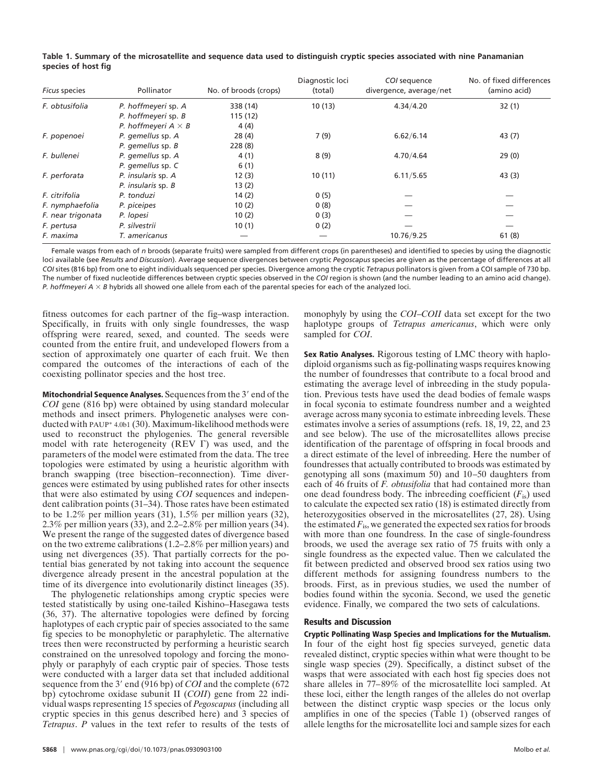|                     | Table 1. Summary of the microsatellite and sequence data used to distinguish cryptic species associated with nine Panamanian |  |  |  |
|---------------------|------------------------------------------------------------------------------------------------------------------------------|--|--|--|
| species of host fig |                                                                                                                              |  |  |  |

| <b>Ficus species</b> | Pollinator                 | No. of broods (crops) | Diagnostic loci<br>(total) | COI sequence<br>divergence, average/net | No. of fixed differences<br>(amino acid) |
|----------------------|----------------------------|-----------------------|----------------------------|-----------------------------------------|------------------------------------------|
| F. obtusifolia       | P. hoffmeyeri sp. A        | 338 (14)              | 10(13)                     | 4.34/4.20                               | 32(1)                                    |
|                      | P. hoffmeyeri sp. B        | 115(12)               |                            |                                         |                                          |
|                      | P. hoffmeyeri $A \times B$ | 4(4)                  |                            |                                         |                                          |
| F. popenoei          | P. gemellus sp. A          | 28(4)                 | 7(9)                       | 6.62/6.14                               | 43 (7)                                   |
|                      | P. gemellus sp. B          | 228(8)                |                            |                                         |                                          |
| F. bullenei          | P. gemellus sp. A          | 4(1)                  | 8(9)                       | 4.70/4.64                               | 29(0)                                    |
|                      | P. gemellus sp. C          | 6(1)                  |                            |                                         |                                          |
| F. perforata         | P. insularis sp. A         | 12(3)                 | 10(11)                     | 6.11/5.65                               | 43(3)                                    |
|                      | P. insularis sp. B         | 13(2)                 |                            |                                         |                                          |
| F. citrifolia        | P. tonduzi                 | 14(2)                 | 0(5)                       |                                         |                                          |
| F. nymphaefolia      | P. piceipes                | 10(2)                 | 0(8)                       |                                         |                                          |
| F. near trigonata    | P. lopesi                  | 10(2)                 | 0(3)                       |                                         |                                          |
| F. pertusa           | P. silvestrii              | 10(1)                 | 0(2)                       |                                         |                                          |
| F. maxima            | T. americanus              |                       |                            | 10.76/9.25                              | 61(8)                                    |

Female wasps from each of *n* broods (separate fruits) were sampled from different crops (in parentheses) and identified to species by using the diagnostic loci available (see *Results and Discussion*). Average sequence divergences between cryptic *Pegoscapus* species are given as the percentage of differences at all *COI* sites (816 bp) from one to eight individuals sequenced per species. Divergence among the cryptic *Tetrapus* pollinators is given from a COI sample of 730 bp. The number of fixed nucleotide differences between cryptic species observed in the *COI* region is shown (and the number leading to an amino acid change). *P. hoffmeyeri A*  $\times$  *B* hybrids all showed one allele from each of the parental species for each of the analyzed loci.

fitness outcomes for each partner of the fig–wasp interaction. Specifically, in fruits with only single foundresses, the wasp offspring were reared, sexed, and counted. The seeds were counted from the entire fruit, and undeveloped flowers from a section of approximately one quarter of each fruit. We then compared the outcomes of the interactions of each of the coexisting pollinator species and the host tree.

**Mitochondrial Sequence Analyses.** Sequences from the 3' end of the *COI* gene (816 bp) were obtained by using standard molecular methods and insect primers. Phylogenetic analyses were conducted with PAUP\* 4.0b1 (30). Maximum-likelihood methods were used to reconstruct the phylogenies. The general reversible model with rate heterogeneity (REV  $\Gamma$ ) was used, and the parameters of the model were estimated from the data. The tree topologies were estimated by using a heuristic algorithm with branch swapping (tree bisection–reconnection). Time divergences were estimated by using published rates for other insects that were also estimated by using *COI* sequences and independent calibration points (31–34). Those rates have been estimated to be 1.2% per million years (31), 1.5% per million years (32), 2.3% per million years (33), and 2.2–2.8% per million years (34). We present the range of the suggested dates of divergence based on the two extreme calibrations (1.2–2.8% per million years) and using net divergences (35). That partially corrects for the potential bias generated by not taking into account the sequence divergence already present in the ancestral population at the time of its divergence into evolutionarily distinct lineages (35).

The phylogenetic relationships among cryptic species were tested statistically by using one-tailed Kishino–Hasegawa tests (36, 37). The alternative topologies were defined by forcing haplotypes of each cryptic pair of species associated to the same fig species to be monophyletic or paraphyletic. The alternative trees then were reconstructed by performing a heuristic search constrained on the unresolved topology and forcing the monophyly or paraphyly of each cryptic pair of species. Those tests were conducted with a larger data set that included additional sequence from the 3' end  $(916 bp)$  of *COI* and the complete (672) bp) cytochrome oxidase subunit II (*COII*) gene from 22 individual wasps representing 15 species of *Pegoscapus* (including all cryptic species in this genus described here) and 3 species of *Tetrapus*. *P* values in the text refer to results of the tests of

monophyly by using the *COI*–*COII* data set except for the two haplotype groups of *Tetrapus americanus*, which were only sampled for *COI*.

**Sex Ratio Analyses.** Rigorous testing of LMC theory with haplodiploid organisms such as fig-pollinating wasps requires knowing the number of foundresses that contribute to a focal brood and estimating the average level of inbreeding in the study population. Previous tests have used the dead bodies of female wasps in focal syconia to estimate foundress number and a weighted average across many syconia to estimate inbreeding levels. These estimates involve a series of assumptions (refs. 18, 19, 22, and 23 and see below). The use of the microsatellites allows precise identification of the parentage of offspring in focal broods and a direct estimate of the level of inbreeding. Here the number of foundresses that actually contributed to broods was estimated by genotyping all sons (maximum 50) and 10–50 daughters from each of 46 fruits of *F. obtusifolia* that had contained more than one dead foundress body. The inbreeding coefficient  $(F_{i<sub>s</sub>})$  used to calculate the expected sex ratio (18) is estimated directly from heterozygosities observed in the microsatellites (27, 28). Using the estimated  $F_{\text{is}}$ , we generated the expected sex ratios for broods with more than one foundress. In the case of single-foundress broods, we used the average sex ratio of 75 fruits with only a single foundress as the expected value. Then we calculated the fit between predicted and observed brood sex ratios using two different methods for assigning foundress numbers to the broods. First, as in previous studies, we used the number of bodies found within the syconia. Second, we used the genetic evidence. Finally, we compared the two sets of calculations.

## **Results and Discussion**

**Cryptic Pollinating Wasp Species and Implications for the Mutualism.** In four of the eight host fig species surveyed, genetic data revealed distinct, cryptic species within what were thought to be single wasp species (29). Specifically, a distinct subset of the wasps that were associated with each host fig species does not share alleles in 77–89% of the microsatellite loci sampled. At these loci, either the length ranges of the alleles do not overlap between the distinct cryptic wasp species or the locus only amplifies in one of the species (Table 1) (observed ranges of allele lengths for the microsatellite loci and sample sizes for each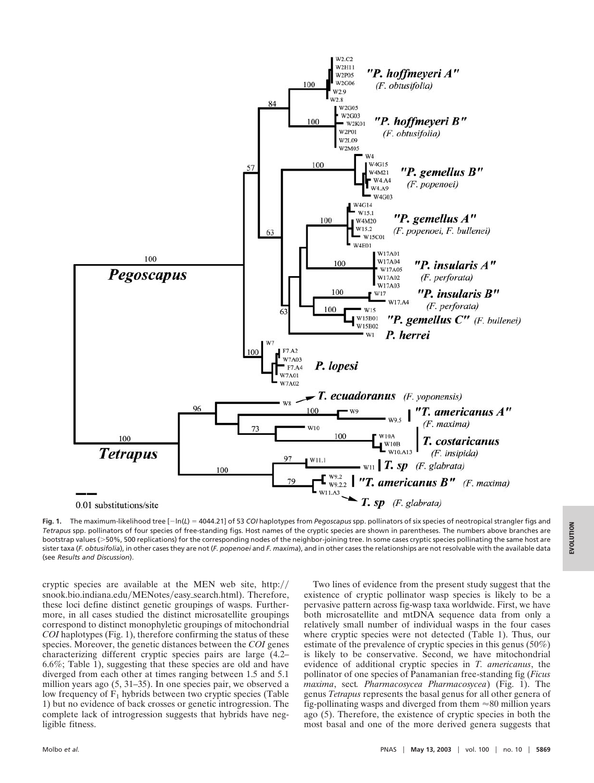

Fig. 1. The maximum-likelihood tree [-ln(*L*) = 4044.21] of 53 *COI* haplotypes from *Pegoscapus* spp. pollinators of six species of neotropical strangler figs and *Tetrapus* spp. pollinators of four species of free-standing figs. Host names of the cryptic species are shown in parentheses. The numbers above branches are bootstrap values (>50%, 500 replications) for the corresponding nodes of the neighbor-joining tree. In some cases cryptic species pollinating the same host are sister taxa (*F. obtusifolia*), in other cases they are not (*F. popenoei* and *F. maxima*), and in other cases the relationships are not resolvable with the available data (see *Results and Discussion*).

cryptic species are available at the MEN web site,  $http://$ snook.bio.indiana.edu/MENotes/easy\_search.html). Therefore, these loci define distinct genetic groupings of wasps. Furthermore, in all cases studied the distinct microsatellite groupings correspond to distinct monophyletic groupings of mitochondrial *COI* haplotypes (Fig. 1), therefore confirming the status of these species. Moreover, the genetic distances between the *COI* genes characterizing different cryptic species pairs are large (4.2– 6.6%; Table 1), suggesting that these species are old and have diverged from each other at times ranging between 1.5 and 5.1 million years ago (5, 31-35). In one species pair, we observed a low frequency of  $F_1$  hybrids between two cryptic species (Table 1) but no evidence of back crosses or genetic introgression. The complete lack of introgression suggests that hybrids have negligible fitness.

Two lines of evidence from the present study suggest that the existence of cryptic pollinator wasp species is likely to be a pervasive pattern across fig-wasp taxa worldwide. First, we have both microsatellite and mtDNA sequence data from only a relatively small number of individual wasps in the four cases where cryptic species were not detected (Table 1). Thus, our estimate of the prevalence of cryptic species in this genus (50%) is likely to be conservative. Second, we have mitochondrial evidence of additional cryptic species in *T. americanus*, the pollinator of one species of Panamanian free-standing fig (*Ficus maxima*, sect*. Pharmacosycea Pharmacosycea*) (Fig. 1). The genus *Tetrapus* represents the basal genus for all other genera of fig-pollinating wasps and diverged from them  $\approx 80$  million years ago (5). Therefore, the existence of cryptic species in both the most basal and one of the more derived genera suggests that **EVOLUTION**

EVOLUTION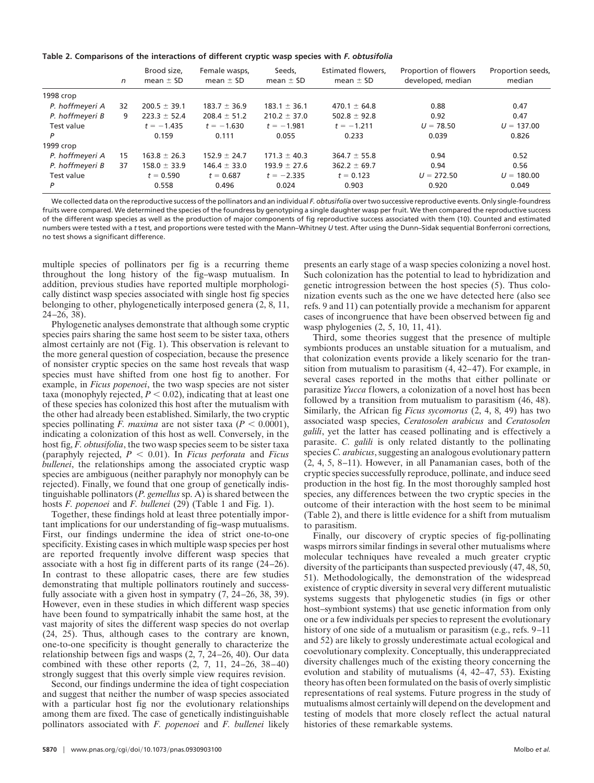| Table 2. Comparisons of the interactions of different cryptic wasp species with F. obtusifolia |
|------------------------------------------------------------------------------------------------|
|------------------------------------------------------------------------------------------------|

|                 | n  | Brood size.<br>mean $\pm$ SD | Female wasps,<br>mean $\pm$ SD | Seeds,<br>mean $\pm$ SD | Estimated flowers,<br>mean $\pm$ SD | Proportion of flowers<br>developed, median | Proportion seeds,<br>median |
|-----------------|----|------------------------------|--------------------------------|-------------------------|-------------------------------------|--------------------------------------------|-----------------------------|
| 1998 crop       |    |                              |                                |                         |                                     |                                            |                             |
| P. hoffmeyeri A | 32 | $200.5 \pm 39.1$             | $183.7 \pm 36.9$               | $183.1 \pm 36.1$        | $470.1 \pm 64.8$                    | 0.88                                       | 0.47                        |
| P. hoffmeyeri B | 9  | $223.3 \pm 52.4$             | $208.4 \pm 51.2$               | $210.2 \pm 37.0$        | $502.8 \pm 92.8$                    | 0.92                                       | 0.47                        |
| Test value      |    | $t = -1.435$                 | $t = -1.630$                   | $t = -1.981$            | $t = -1.211$                        | $U = 78.50$                                | $U = 137.00$                |
| P               |    | 0.159                        | 0.111                          | 0.055                   | 0.233                               | 0.039                                      | 0.826                       |
| 1999 crop       |    |                              |                                |                         |                                     |                                            |                             |
| P. hoffmeyeri A | 15 | $163.8 \pm 26.3$             | $152.9 \pm 24.7$               | $171.3 \pm 40.3$        | $364.7 \pm 55.8$                    | 0.94                                       | 0.52                        |
| P. hoffmeyeri B | 37 | $158.0 \pm 33.9$             | $146.4 \pm 33.0$               | $193.9 \pm 27.6$        | $362.2 \pm 69.7$                    | 0.94                                       | 0.56                        |
| Test value      |    | $t = 0.590$                  | $t = 0.687$                    | $t = -2.335$            | $t = 0.123$                         | $U = 272.50$                               | $U = 180.00$                |
| P               |    | 0.558                        | 0.496                          | 0.024                   | 0.903                               | 0.920                                      | 0.049                       |

We collected data on the reproductive success of the pollinators and an individual *F. obtusifolia* over two successive reproductive events. Only single-foundress fruits were compared. We determined the species of the foundress by genotyping a single daughter wasp per fruit. We then compared the reproductive success of the different wasp species as well as the production of major components of fig reproductive success associated with them (10). Counted and estimated numbers were tested with a *t* test, and proportions were tested with the Mann–Whitney *U* test. After using the Dunn–Sidak sequential Bonferroni corrections, no test shows a significant difference.

multiple species of pollinators per fig is a recurring theme throughout the long history of the fig–wasp mutualism. In addition, previous studies have reported multiple morphologically distinct wasp species associated with single host fig species belonging to other, phylogenetically interposed genera (2, 8, 11, 24–26, 38).

Phylogenetic analyses demonstrate that although some cryptic species pairs sharing the same host seem to be sister taxa, others almost certainly are not (Fig. 1). This observation is relevant to the more general question of cospeciation, because the presence of nonsister cryptic species on the same host reveals that wasp species must have shifted from one host fig to another. For example, in *Ficus popenoei*, the two wasp species are not sister taxa (monophyly rejected,  $P < 0.02$ ), indicating that at least one of these species has colonized this host after the mutualism with the other had already been established. Similarly, the two cryptic species pollinating *F. maxima* are not sister taxa ( $P < 0.0001$ ), indicating a colonization of this host as well. Conversely, in the host fig, *F. obtusifolia*, the two wasp species seem to be sister taxa (paraphyly rejected,  $P < 0.01$ ). In *Ficus perforata* and *Ficus bullenei*, the relationships among the associated cryptic wasp species are ambiguous (neither paraphyly nor monophyly can be rejected). Finally, we found that one group of genetically indistinguishable pollinators (*P. gemellus* sp. A) is shared between the hosts *F. popenoei* and *F. bullenei* (29) (Table 1 and Fig. 1).

Together, these findings hold at least three potentially important implications for our understanding of fig–wasp mutualisms. First, our findings undermine the idea of strict one-to-one specificity. Existing cases in which multiple wasp species per host are reported frequently involve different wasp species that associate with a host fig in different parts of its range (24–26). In contrast to these allopatric cases, there are few studies demonstrating that multiple pollinators routinely and successfully associate with a given host in sympatry  $(7, 24-26, 38, 39)$ . However, even in these studies in which different wasp species have been found to sympatrically inhabit the same host, at the vast majority of sites the different wasp species do not overlap (24, 25). Thus, although cases to the contrary are known, one-to-one specificity is thought generally to characterize the relationship between figs and wasps (2, 7, 24–26, 40). Our data combined with these other reports (2, 7, 11, 24–26, 38–40) strongly suggest that this overly simple view requires revision.

Second, our findings undermine the idea of tight cospeciation and suggest that neither the number of wasp species associated with a particular host fig nor the evolutionary relationships among them are fixed. The case of genetically indistinguishable pollinators associated with *F. popenoei* and *F. bullenei* likely presents an early stage of a wasp species colonizing a novel host. Such colonization has the potential to lead to hybridization and genetic introgression between the host species (5). Thus colonization events such as the one we have detected here (also see refs. 9 and 11) can potentially provide a mechanism for apparent cases of incongruence that have been observed between fig and wasp phylogenies (2, 5, 10, 11, 41).

Third, some theories suggest that the presence of multiple symbionts produces an unstable situation for a mutualism, and that colonization events provide a likely scenario for the transition from mutualism to parasitism (4, 42–47). For example, in several cases reported in the moths that either pollinate or parasitize *Yucca* flowers, a colonization of a novel host has been followed by a transition from mutualism to parasitism (46, 48). Similarly, the African fig *Ficus sycomorus* (2, 4, 8, 49) has two associated wasp species, *Ceratosolen arabicus* and *Ceratosolen galili*, yet the latter has ceased pollinating and is effectively a parasite. *C. galili* is only related distantly to the pollinating species *C. arabicus*, suggesting an analogous evolutionary pattern (2, 4, 5, 8–11). However, in all Panamanian cases, both of the cryptic species successfully reproduce, pollinate, and induce seed production in the host fig. In the most thoroughly sampled host species, any differences between the two cryptic species in the outcome of their interaction with the host seem to be minimal (Table 2), and there is little evidence for a shift from mutualism to parasitism.

Finally, our discovery of cryptic species of fig-pollinating wasps mirrors similar findings in several other mutualisms where molecular techniques have revealed a much greater cryptic diversity of the participants than suspected previously (47, 48, 50, 51). Methodologically, the demonstration of the widespread existence of cryptic diversity in several very different mutualistic systems suggests that phylogenetic studies (in figs or other host–symbiont systems) that use genetic information from only one or a few individuals per species to represent the evolutionary history of one side of a mutualism or parasitism (e.g., refs. 9–11) and 52) are likely to grossly underestimate actual ecological and coevolutionary complexity. Conceptually, this underappreciated diversity challenges much of the existing theory concerning the evolution and stability of mutualisms (4, 42–47, 53). Existing theory has often been formulated on the basis of overly simplistic representations of real systems. Future progress in the study of mutualisms almost certainly will depend on the development and testing of models that more closely reflect the actual natural histories of these remarkable systems.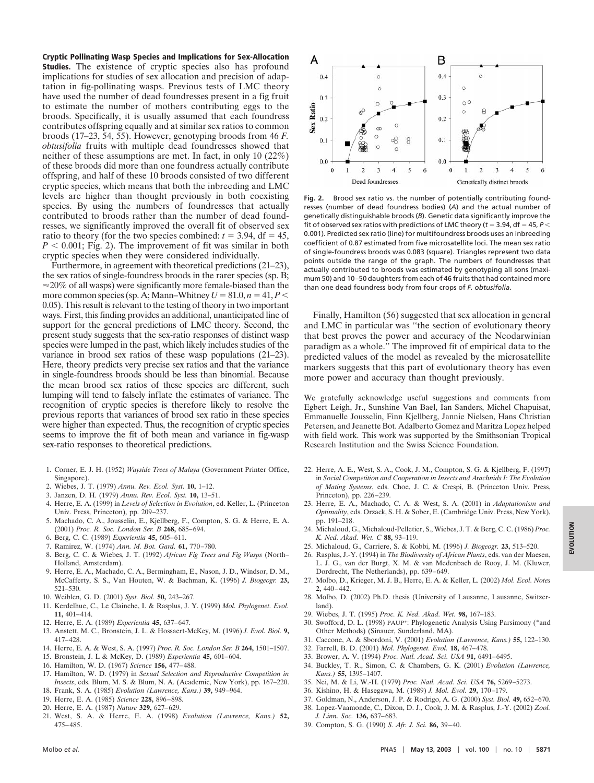**Cryptic Pollinating Wasp Species and Implications for Sex-Allocation Studies.** The existence of cryptic species also has profound implications for studies of sex allocation and precision of adaptation in fig-pollinating wasps. Previous tests of LMC theory have used the number of dead foundresses present in a fig fruit to estimate the number of mothers contributing eggs to the broods. Specifically, it is usually assumed that each foundress contributes offspring equally and at similar sex ratios to common broods (17–23, 54, 55). However, genotyping broods from 46 *F. obtusifolia* fruits with multiple dead foundresses showed that neither of these assumptions are met. In fact, in only 10 (22%) of these broods did more than one foundress actually contribute offspring, and half of these 10 broods consisted of two different cryptic species, which means that both the inbreeding and LMC levels are higher than thought previously in both coexisting species. By using the numbers of foundresses that actually contributed to broods rather than the number of dead foundresses, we significantly improved the overall fit of observed sex ratio to theory (for the two species combined:  $t = 3.94$ , df = 45,  $P < 0.001$ ; Fig. 2). The improvement of fit was similar in both cryptic species when they were considered individually.

Furthermore, in agreement with theoretical predictions (21–23), the sex ratios of single-foundress broods in the rarer species (sp. B;  $\approx$  20% of all wasps) were significantly more female-biased than the more common species (sp. A; Mann–Whitney  $U = 81.0, n = 41, P <$ 0.05). This result is relevant to the testing of theory in two important ways. First, this finding provides an additional, unanticipated line of support for the general predictions of LMC theory. Second, the present study suggests that the sex-ratio responses of distinct wasp species were lumped in the past, which likely includes studies of the variance in brood sex ratios of these wasp populations (21–23). Here, theory predicts very precise sex ratios and that the variance in single-foundress broods should be less than binomial. Because the mean brood sex ratios of these species are different, such lumping will tend to falsely inflate the estimates of variance. The recognition of cryptic species is therefore likely to resolve the previous reports that variances of brood sex ratio in these species were higher than expected. Thus, the recognition of cryptic species seems to improve the fit of both mean and variance in fig-wasp sex-ratio responses to theoretical predictions.

- 1. Corner, E. J. H. (1952) *Wayside Trees of Malaya* (Government Printer Office, Singapore).
- 2. Wiebes, J. T. (1979) *Annu. Rev. Ecol. Syst.* **10,** 1–12.
- 3. Janzen, D. H. (1979) *Annu. Rev. Ecol. Syst.* **10,** 13–51.
- 4. Herre, E. A. (1999) in *Levels of Selection in Evolution*, ed. Keller, L. (Princeton Univ. Press, Princeton), pp. 209–237.
- 5. Machado, C. A., Jousselin, E., Kjellberg, F., Compton, S. G. & Herre, E. A. (2001) *Proc. R. Soc. London Ser. B* **268,** 685–694.
- 6. Berg, C. C. (1989) *Experientia* **45,** 605–611.
- 7. Ramirez, W. (1974) *Ann. M. Bot. Gard.* **61,** 770–780.
- 8. Berg, C. C. & Wiebes, J. T. (1992) *African Fig Trees and Fig Wasps* (North– Holland, Amsterdam).
- 9. Herre, E. A., Machado, C. A., Bermingham, E., Nason, J. D., Windsor, D. M., McCafferty, S. S., Van Houten, W. & Bachman, K. (1996) *J. Biogeogr.* **23,** 521–530.
- 10. Weiblen, G. D. (2001) *Syst. Biol.* **50,** 243–267.
- 11. Kerdelhue, C., Le Clainche, I. & Rasplus, J. Y. (1999) *Mol. Phylogenet. Evol.* **11,** 401–414.
- 12. Herre, E. A. (1989) *Experientia* **45,** 637–647.
- 13. Anstett, M. C., Bronstein, J. L. & Hossaert-McKey, M. (1996) *J. Evol. Biol.* **9,** 417–428.
- 14. Herre, E. A. & West, S. A. (1997) *Proc. R. Soc. London Ser. B* **264,** 1501–1507.
- 15. Bronstein, J. L & McKey, D. (1989) *Experientia* **45,** 601–604.
- 16. Hamilton, W. D. (1967) *Science* **156,** 477–488.
- 17. Hamilton, W. D. (1979) in *Sexual Selection and Reproductive Competition in Insects*, eds. Blum, M. S. & Blum, N. A. (Academic, New York), pp. 167–220.
- 18. Frank, S. A. (1985) *Evolution (Lawrence, Kans.)* **39,** 949–964.
- 19. Herre, E. A. (1985) *Science* **228,** 896–898.
- 20. Herre, E. A. (1987) *Nature* **329,** 627–629.
- 21. West, S. A. & Herre, E. A. (1998) *Evolution (Lawrence, Kans.)* **52,** 475–485.



**Fig. 2.** Brood sex ratio vs. the number of potentially contributing foundresses (number of dead foundress bodies) (*A*) and the actual number of genetically distinguishable broods (*B*). Genetic data significantly improve the fit of observed sex ratios with predictions of LMC theory ( $t = 3.94$ , df = 45,  $P <$ 0.001). Predicted sex ratio (line) for multifoundress broods uses an inbreeding coefficient of 0.87 estimated from five microsatellite loci. The mean sex ratio of single-foundress broods was 0.083 (square). Triangles represent two data points outside the range of the graph. The numbers of foundresses that actually contributed to broods was estimated by genotyping all sons (maximum 50) and 10–50 daughters from each of 46 fruits that had contained more than one dead foundress body from four crops of *F. obtusifolia*.

Finally, Hamilton (56) suggested that sex allocation in general and LMC in particular was ''the section of evolutionary theory that best proves the power and accuracy of the Neodarwinian paradigm as a whole.'' The improved fit of empirical data to the predicted values of the model as revealed by the microsatellite markers suggests that this part of evolutionary theory has even more power and accuracy than thought previously.

We gratefully acknowledge useful suggestions and comments from Egbert Leigh, Jr., Sunshine Van Bael, Ian Sanders, Michel Chapuisat, Emmanuelle Jousselin, Finn Kjellberg, Jannie Nielsen, Hans Christian Petersen, and Jeanette Bot. Adalberto Gomez and Maritza Lopez helped with field work. This work was supported by the Smithsonian Tropical Research Institution and the Swiss Science Foundation.

- 22. Herre, A. E., West, S. A., Cook, J. M., Compton, S. G. & Kjellberg, F. (1997) in *Social Competition and Cooperation in Insects and Arachnids I: The Evolution of Mating Systems*, eds. Choe, J. C. & Crespi, B. (Princeton Univ. Press, Princeton), pp. 226–239.
- 23. Herre, E. A., Machado, C. A. & West, S. A. (2001) in *Adaptationism and Optimality*, eds. Orzack, S. H. & Sober, E. (Cambridge Univ. Press, New York), pp. 191–218.
- 24. Michaloud, G., Michaloud-Pelletier, S., Wiebes, J. T. & Berg, C. C. (1986) *Proc. K. Ned. Akad. Wet. C* **88,** 93–119.
- 25. Michaloud, G., Carriere, S. & Kobbi, M. (1996) *J. Biogeogr.* **23,** 513–520.
- 26. Rasplus, J.-Y. (1994) in *The Biodiversity of African Plants*, eds. van der Maesen, L. J. G., van der Burgt, X. M. & van Medenbach de Rooy, J. M. (Kluwer, Dordrecht, The Netherlands), pp. 639–649.
- 27. Molbo, D., Krieger, M. J. B., Herre, E. A. & Keller, L. (2002) *Mol. Ecol. Notes* **2,** 440–442.
- 28. Molbo, D. (2002) Ph.D. thesis (University of Lausanne, Lausanne, Switzerland).
- 29. Wiebes, J. T. (1995) *Proc. K. Ned. Akad. Wet.* **98,** 167–183.
- 30. Swofford, D. L. (1998) PAUP\*: Phylogenetic Analysis Using Parsimony (\*and Other Methods) (Sinauer, Sunderland, MA).
- 31. Caccone, A. & Sbordoni, V. (2001) *Evolution (Lawrence, Kans.)* **55,** 122–130.
- 32. Farrell, B. D. (2001) *Mol. Phylogenet. Evol.* **18,** 467–478.
- 33. Brower, A. V. (1994) *Proc. Natl. Acad. Sci. USA* **91,** 6491–6495.
- 34. Buckley, T. R., Simon, C. & Chambers, G. K. (2001) *Evolution (Lawrence, Kans.)* **55,** 1395–1407.
- 35. Nei, M. & Li, W.-H. (1979) *Proc. Natl. Acad. Sci. USA* **76,** 5269–5273.
- 36. Kishino, H. & Hasegawa, M. (1989) *J. Mol. Evol.* **29,** 170–179.
- 37. Goldman, N., Anderson, J. P. & Rodrigo, A. G. (2000) *Syst. Biol.* **49,** 652–670.
- 38. Lopez-Vaamonde, C., Dixon, D. J., Cook, J. M. & Rasplus, J.-Y. (2002) *Zool.*
- *J. Linn. Soc.* **136,** 637–683. 39. Compton, S. G. (1990) *S. Afr. J. Sci.* **86,** 39–40.
	-

**EVOLUTION**

EVOLUTION